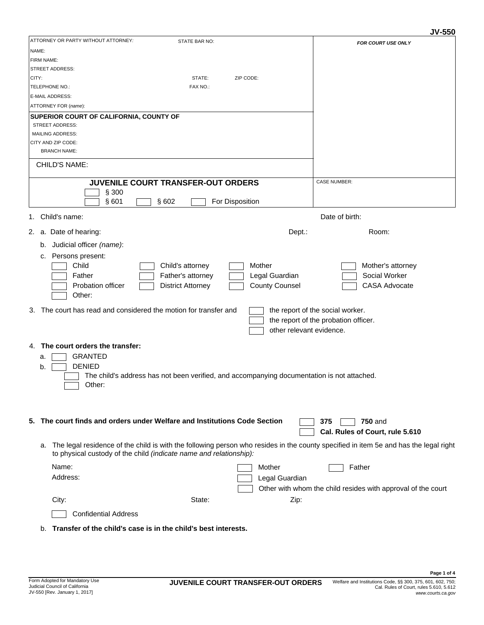|                                                                                                                                         | ง ง-ววบ                                                      |
|-----------------------------------------------------------------------------------------------------------------------------------------|--------------------------------------------------------------|
| ATTORNEY OR PARTY WITHOUT ATTORNEY:<br>STATE BAR NO:                                                                                    | FOR COURT USE ONLY                                           |
| NAME:                                                                                                                                   |                                                              |
| <b>FIRM NAME:</b>                                                                                                                       |                                                              |
| <b>STREET ADDRESS:</b>                                                                                                                  |                                                              |
| STATE:<br>ZIP CODE:<br>CITY:                                                                                                            |                                                              |
| TELEPHONE NO.:<br>FAX NO.:                                                                                                              |                                                              |
| E-MAIL ADDRESS:                                                                                                                         |                                                              |
| ATTORNEY FOR (name):                                                                                                                    |                                                              |
| <b>SUPERIOR COURT OF CALIFORNIA, COUNTY OF</b>                                                                                          |                                                              |
| <b>STREET ADDRESS:</b>                                                                                                                  |                                                              |
| <b>MAILING ADDRESS:</b>                                                                                                                 |                                                              |
| CITY AND ZIP CODE:<br><b>BRANCH NAME:</b>                                                                                               |                                                              |
|                                                                                                                                         |                                                              |
| <b>CHILD'S NAME:</b>                                                                                                                    |                                                              |
| JUVENILE COURT TRANSFER-OUT ORDERS                                                                                                      | <b>CASE NUMBER:</b>                                          |
| § 300                                                                                                                                   |                                                              |
| §601<br>§602<br>For Disposition                                                                                                         |                                                              |
| 1. Child's name:                                                                                                                        | Date of birth:                                               |
| 2. a. Date of hearing:<br>Dept.:                                                                                                        | Room:                                                        |
| Judicial officer (name):<br>b.                                                                                                          |                                                              |
|                                                                                                                                         |                                                              |
| Persons present:<br>c.                                                                                                                  |                                                              |
| Child<br>Child's attorney<br>Mother                                                                                                     | Mother's attorney                                            |
| Legal Guardian<br>Father<br>Father's attorney                                                                                           | Social Worker                                                |
| <b>County Counsel</b><br><b>Probation officer</b><br><b>District Attorney</b>                                                           | <b>CASA Advocate</b>                                         |
| Other:                                                                                                                                  |                                                              |
| The court has read and considered the motion for transfer and<br>З.                                                                     | the report of the social worker.                             |
|                                                                                                                                         | the report of the probation officer.                         |
| other relevant evidence.                                                                                                                |                                                              |
|                                                                                                                                         |                                                              |
| The court orders the transfer:<br>4.                                                                                                    |                                                              |
| <b>GRANTED</b><br>a.                                                                                                                    |                                                              |
| <b>DENIED</b><br>b.                                                                                                                     |                                                              |
| The child's address has not been verified, and accompanying documentation is not attached.                                              |                                                              |
| Other:                                                                                                                                  |                                                              |
|                                                                                                                                         |                                                              |
|                                                                                                                                         |                                                              |
|                                                                                                                                         |                                                              |
| 5. The court finds and orders under Welfare and Institutions Code Section                                                               | <b>750 and</b><br>375                                        |
|                                                                                                                                         | Cal. Rules of Court, rule 5.610                              |
| a. The legal residence of the child is with the following person who resides in the county specified in item 5e and has the legal right |                                                              |
| to physical custody of the child (indicate name and relationship):                                                                      |                                                              |
| Name:<br>Mother                                                                                                                         | Father                                                       |
| Address:<br>Legal Guardian                                                                                                              |                                                              |
|                                                                                                                                         |                                                              |
|                                                                                                                                         | Other with whom the child resides with approval of the court |
| State:<br>City:<br>Zip:                                                                                                                 |                                                              |
| <b>Confidential Address</b>                                                                                                             |                                                              |
| Transfer of the child's case is in the child's best interests.<br>b.                                                                    |                                                              |
|                                                                                                                                         |                                                              |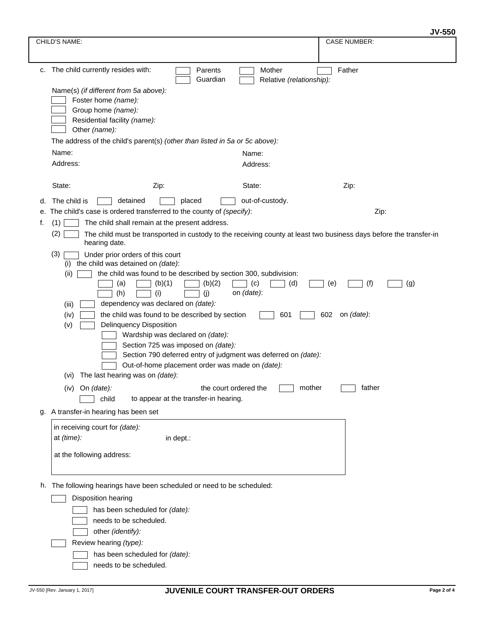|    | CHILD'S NAME:                                                                                                                                                                                                                                                                                                                                                                                                                                                                                                                                                                                                                                                                                                                                                                                                                                                                                                                                    |                          | <b>CASE NUMBER:</b> |  |  |
|----|--------------------------------------------------------------------------------------------------------------------------------------------------------------------------------------------------------------------------------------------------------------------------------------------------------------------------------------------------------------------------------------------------------------------------------------------------------------------------------------------------------------------------------------------------------------------------------------------------------------------------------------------------------------------------------------------------------------------------------------------------------------------------------------------------------------------------------------------------------------------------------------------------------------------------------------------------|--------------------------|---------------------|--|--|
|    |                                                                                                                                                                                                                                                                                                                                                                                                                                                                                                                                                                                                                                                                                                                                                                                                                                                                                                                                                  |                          |                     |  |  |
|    | c. The child currently resides with:<br>Parents                                                                                                                                                                                                                                                                                                                                                                                                                                                                                                                                                                                                                                                                                                                                                                                                                                                                                                  | Mother                   | Father              |  |  |
|    | Guardian<br>Name(s) (if different from 5a above):<br>Foster home (name):<br>Group home (name):<br>Residential facility (name):<br>Other (name):                                                                                                                                                                                                                                                                                                                                                                                                                                                                                                                                                                                                                                                                                                                                                                                                  | Relative (relationship): |                     |  |  |
|    | The address of the child's parent(s) (other than listed in 5a or 5c above):                                                                                                                                                                                                                                                                                                                                                                                                                                                                                                                                                                                                                                                                                                                                                                                                                                                                      |                          |                     |  |  |
|    | Name:                                                                                                                                                                                                                                                                                                                                                                                                                                                                                                                                                                                                                                                                                                                                                                                                                                                                                                                                            | Name:                    |                     |  |  |
|    | Address:                                                                                                                                                                                                                                                                                                                                                                                                                                                                                                                                                                                                                                                                                                                                                                                                                                                                                                                                         | Address:                 |                     |  |  |
|    | State:<br>Zip:                                                                                                                                                                                                                                                                                                                                                                                                                                                                                                                                                                                                                                                                                                                                                                                                                                                                                                                                   | State:                   | Zip:                |  |  |
| d. | The child is<br>detained<br>placed                                                                                                                                                                                                                                                                                                                                                                                                                                                                                                                                                                                                                                                                                                                                                                                                                                                                                                               | out-of-custody.          |                     |  |  |
| е. | The child's case is ordered transferred to the county of (specify):                                                                                                                                                                                                                                                                                                                                                                                                                                                                                                                                                                                                                                                                                                                                                                                                                                                                              |                          | Zip:                |  |  |
| f. | The child shall remain at the present address.<br>(1)                                                                                                                                                                                                                                                                                                                                                                                                                                                                                                                                                                                                                                                                                                                                                                                                                                                                                            |                          |                     |  |  |
|    | (2)<br>The child must be transported in custody to the receiving county at least two business days before the transfer-in<br>hearing date.                                                                                                                                                                                                                                                                                                                                                                                                                                                                                                                                                                                                                                                                                                                                                                                                       |                          |                     |  |  |
|    | (3)<br>Under prior orders of this court<br>the child was detained on (date):<br>(i)<br>the child was found to be described by section 300, subdivision:<br>(ii)<br>(b)(1)<br>(b)(2)<br>(c)<br>(d)<br>(f)<br>(a)<br>(e)<br>(g)<br>(h)<br>on (date):<br>(i)<br>(i)<br>dependency was declared on (date):<br>(iii)<br>the child was found to be described by section<br>on (date):<br>601<br>602<br>(iv)<br><b>Delinquency Disposition</b><br>(v)<br>Wardship was declared on (date):<br>Section 725 was imposed on (date):<br>Section 790 deferred entry of judgment was deferred on (date):<br>Out-of-home placement order was made on (date):<br>The last hearing was on (date):<br>(vi)<br>(iv)<br>mother<br>father<br>On (date):<br>the court ordered the<br>child<br>to appear at the transfer-in hearing.<br>g. A transfer-in hearing has been set<br>in receiving court for (date):<br>at (time):<br>in dept.:<br>at the following address: |                          |                     |  |  |
|    | h. The following hearings have been scheduled or need to be scheduled:<br>Disposition hearing<br>has been scheduled for (date):<br>needs to be scheduled.<br>other (identify):<br>Review hearing (type):<br>has been scheduled for (date):<br>needs to be scheduled.                                                                                                                                                                                                                                                                                                                                                                                                                                                                                                                                                                                                                                                                             |                          |                     |  |  |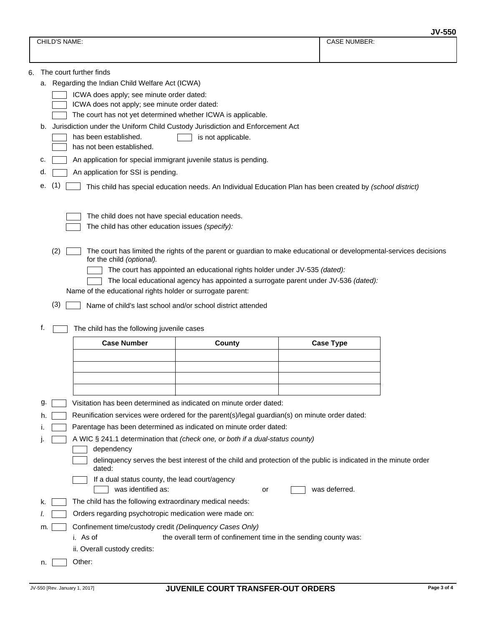|                                                                                                                                                 |    |                                            |                                                                                                                 |                                                                                                            |  |                     | <b>JV-550</b> |  |
|-------------------------------------------------------------------------------------------------------------------------------------------------|----|--------------------------------------------|-----------------------------------------------------------------------------------------------------------------|------------------------------------------------------------------------------------------------------------|--|---------------------|---------------|--|
|                                                                                                                                                 |    | CHILD'S NAME:                              |                                                                                                                 |                                                                                                            |  | <b>CASE NUMBER:</b> |               |  |
|                                                                                                                                                 |    |                                            |                                                                                                                 |                                                                                                            |  |                     |               |  |
| 6.                                                                                                                                              |    |                                            | The court further finds                                                                                         |                                                                                                            |  |                     |               |  |
|                                                                                                                                                 |    |                                            | a. Regarding the Indian Child Welfare Act (ICWA)                                                                |                                                                                                            |  |                     |               |  |
|                                                                                                                                                 |    |                                            | ICWA does apply; see minute order dated:                                                                        |                                                                                                            |  |                     |               |  |
|                                                                                                                                                 |    |                                            | ICWA does not apply; see minute order dated:                                                                    |                                                                                                            |  |                     |               |  |
|                                                                                                                                                 |    |                                            | The court has not yet determined whether ICWA is applicable.                                                    |                                                                                                            |  |                     |               |  |
|                                                                                                                                                 | b. |                                            | Jurisdiction under the Uniform Child Custody Jurisdiction and Enforcement Act                                   |                                                                                                            |  |                     |               |  |
|                                                                                                                                                 |    |                                            | has been established.<br>has not been established.                                                              | is not applicable.                                                                                         |  |                     |               |  |
|                                                                                                                                                 |    |                                            |                                                                                                                 |                                                                                                            |  |                     |               |  |
|                                                                                                                                                 | c. |                                            | An application for special immigrant juvenile status is pending.                                                |                                                                                                            |  |                     |               |  |
|                                                                                                                                                 | d  |                                            | An application for SSI is pending.                                                                              |                                                                                                            |  |                     |               |  |
|                                                                                                                                                 | е. | (1)                                        |                                                                                                                 | This child has special education needs. An Individual Education Plan has been created by (school district) |  |                     |               |  |
|                                                                                                                                                 |    |                                            |                                                                                                                 |                                                                                                            |  |                     |               |  |
|                                                                                                                                                 |    |                                            | The child does not have special education needs.                                                                |                                                                                                            |  |                     |               |  |
|                                                                                                                                                 |    |                                            | The child has other education issues (specify):                                                                 |                                                                                                            |  |                     |               |  |
|                                                                                                                                                 |    | (2)                                        |                                                                                                                 |                                                                                                            |  |                     |               |  |
| The court has limited the rights of the parent or guardian to make educational or developmental-services decisions<br>for the child (optional). |    |                                            |                                                                                                                 |                                                                                                            |  |                     |               |  |
|                                                                                                                                                 |    |                                            |                                                                                                                 | The court has appointed an educational rights holder under JV-535 (dated):                                 |  |                     |               |  |
| The local educational agency has appointed a surrogate parent under JV-536 (dated):                                                             |    |                                            |                                                                                                                 |                                                                                                            |  |                     |               |  |
|                                                                                                                                                 |    |                                            | Name of the educational rights holder or surrogate parent:                                                      |                                                                                                            |  |                     |               |  |
|                                                                                                                                                 |    | (3)                                        |                                                                                                                 | Name of child's last school and/or school district attended                                                |  |                     |               |  |
|                                                                                                                                                 | f. |                                            |                                                                                                                 |                                                                                                            |  |                     |               |  |
|                                                                                                                                                 |    | The child has the following juvenile cases |                                                                                                                 |                                                                                                            |  |                     |               |  |
|                                                                                                                                                 |    |                                            | <b>Case Number</b>                                                                                              | County                                                                                                     |  | <b>Case Type</b>    |               |  |
|                                                                                                                                                 |    |                                            |                                                                                                                 |                                                                                                            |  |                     |               |  |
|                                                                                                                                                 |    |                                            |                                                                                                                 |                                                                                                            |  |                     |               |  |
|                                                                                                                                                 |    |                                            |                                                                                                                 |                                                                                                            |  |                     |               |  |
|                                                                                                                                                 |    |                                            | Visitation has been determined as indicated on minute order dated:                                              |                                                                                                            |  |                     |               |  |
|                                                                                                                                                 | g  |                                            |                                                                                                                 |                                                                                                            |  |                     |               |  |
|                                                                                                                                                 |    |                                            | Reunification services were ordered for the parent(s)/legal guardian(s) on minute order dated:                  |                                                                                                            |  |                     |               |  |
|                                                                                                                                                 |    |                                            | Parentage has been determined as indicated on minute order dated:                                               |                                                                                                            |  |                     |               |  |
| A WIC § 241.1 determination that (check one, or both if a dual-status county)<br>dependency                                                     |    |                                            |                                                                                                                 |                                                                                                            |  |                     |               |  |
|                                                                                                                                                 |    |                                            | delinquency serves the best interest of the child and protection of the public is indicated in the minute order |                                                                                                            |  |                     |               |  |
|                                                                                                                                                 |    |                                            | dated:                                                                                                          |                                                                                                            |  |                     |               |  |
|                                                                                                                                                 |    |                                            | If a dual status county, the lead court/agency                                                                  |                                                                                                            |  |                     |               |  |
|                                                                                                                                                 |    |                                            | was identified as:                                                                                              | or                                                                                                         |  | was deferred.       |               |  |
|                                                                                                                                                 | ĸ. |                                            | The child has the following extraordinary medical needs:                                                        |                                                                                                            |  |                     |               |  |
|                                                                                                                                                 |    |                                            | Orders regarding psychotropic medication were made on:                                                          |                                                                                                            |  |                     |               |  |
| Confinement time/custody credit (Delinquency Cases Only)<br>m.                                                                                  |    |                                            |                                                                                                                 |                                                                                                            |  |                     |               |  |
|                                                                                                                                                 |    |                                            | i. As of                                                                                                        | the overall term of confinement time in the sending county was:                                            |  |                     |               |  |
|                                                                                                                                                 |    |                                            | ii. Overall custody credits:                                                                                    |                                                                                                            |  |                     |               |  |
|                                                                                                                                                 | n. |                                            | Other:                                                                                                          |                                                                                                            |  |                     |               |  |